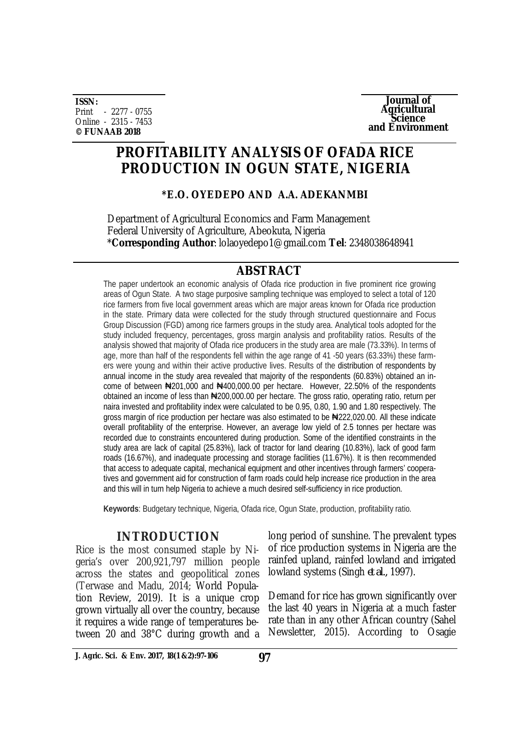**ISSN:** Print - 2277 - 0755 Online - 2315 - 7453 **© FUNAAB 2018**



# **PROFITABILITY ANALYSIS OF OFADA RICE PRODUCTION IN OGUN STATE, NIGERIA**

## **\*E.O. OYEDEPO AND A.A. ADEKANMBI**

Department of Agricultural Economics and Farm Management Federal University of Agriculture, Abeokuta, Nigeria \***Corresponding Author**: [lolaoyedepo1@gmail.com](mailto:lolaoyedepo1@gmail.com) **Tel**: 2348038648941

# **ABSTRACT**

The paper undertook an economic analysis of Ofada rice production in five prominent rice growing areas of Ogun State. A two stage purposive sampling technique was employed to select a total of 120 rice farmers from five local government areas which are major areas known for Ofada rice production in the state. Primary data were collected for the study through structured questionnaire and Focus Group Discussion (FGD) among rice farmers groups in the study area. Analytical tools adopted for the study included frequency, percentages, gross margin analysis and profitability ratios. Results of the analysis showed that majority of Ofada rice producers in the study area are male (73.33%). In terms of age, more than half of the respondents fell within the age range of 41 -50 years (63.33%) these farmers were young and within their active productive lives. Results of the distribution of respondents by annual income in the study area revealed that majority of the respondents (60.83%) obtained an income of between ₦201,000 and ₦400,000.00 per hectare. However, 22.50% of the respondents obtained an income of less than #200,000.00 per hectare. The gross ratio, operating ratio, return per naira invested and profitability index were calculated to be 0.95, 0.80, 1.90 and 1.80 respectively. The gross margin of rice production per hectare was also estimated to be  $\bigstar$ 222,020.00. All these indicate overall profitability of the enterprise. However, an average low yield of 2.5 tonnes per hectare was recorded due to constraints encountered during production. Some of the identified constraints in the study area are lack of capital (25.83%), lack of tractor for land clearing (10.83%), lack of good farm roads (16.67%), and inadequate processing and storage facilities (11.67%). It is then recommended that access to adequate capital, mechanical equipment and other incentives through farmers' cooperatives and government aid for construction of farm roads could help increase rice production in the area and this will in turn help Nigeria to achieve a much desired self-sufficiency in rice production.

**Keywords**: Budgetary technique, Nigeria, Ofada rice, Ogun State, production, profitability ratio.

## **INTRODUCTION**

Rice is the most consumed staple by Nigeria's over 200,921,797 million people across the states and geopolitical zones (Terwase and Madu, 2014; World Population Review, 2019). It is a unique crop grown virtually all over the country, because it requires a wide range of temperatures between 20 and 38°C during growth and a

long period of sunshine. The prevalent types of rice production systems in Nigeria are the rainfed upland, rainfed lowland and irrigated lowland systems (Singh *et al.,* 1997).

Demand for rice has grown significantly over the last 40 years in Nigeria at a much faster rate than in any other African country (Sahel Newsletter, 2015). According to Osagie

**J. Agric. Sci. & Env. 2017, 18(1 &2):97-106 97**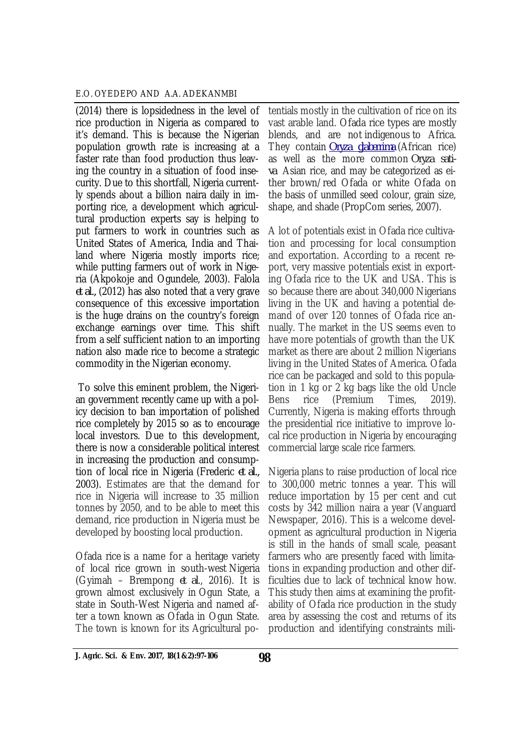(2014) there is lopsidedness in the level of rice production in Nigeria as compared to it's demand. This is because the Nigerian population growth rate is increasing at a faster rate than food production thus leaving the country in a situation of food insecurity. Due to this shortfall, Nigeria currently spends about a billion naira daily in importing rice, a development which agricultural production experts say is helping to put farmers to work in countries such as United States of America, India and Thailand where Nigeria mostly imports rice; while putting farmers out of work in Nigeria (Akpokoje and Ogundele, 2003). Falola *et al.,* (2012) has also noted that a very grave consequence of this excessive importation is the huge drains on the country's foreign exchange earnings over time. This shift from a self sufficient nation to an importing nation also made rice to become a strategic commodity in the Nigerian economy.

To solve this eminent problem, the Nigerian government recently came up with a policy decision to ban importation of polished rice completely by 2015 so as to encourage local investors. Due to this development, there is now a considerable political interest in increasing the production and consumption of local rice in Nigeria (Frederic *et al.,* 2003). Estimates are that the demand for rice in Nigeria will increase to 35 million tonnes by 2050, and to be able to meet this demand, rice production in Nigeria must be developed by boosting local production.

Ofada rice is a name for a heritage variety of local rice grown in south-west Nigeria (Gyimah – Brempong *et al*., 2016). It is grown almost exclusively in Ogun State, a state in South-West Nigeria and named after a town known as Ofada in Ogun State. The town is known for its Agricultural po-

tentials mostly in the cultivation of rice on its vast arable land. Ofada rice types are mostly blends, and are not indigenous to Africa. They contain *Oryza glaberrima* (African rice) as well as the more common *Oryza sativa* Asian rice, and may be categorized as either brown/red Ofada or white Ofada on the basis of unmilled seed colour, grain size, shape, and shade (PropCom series, 2007).

A lot of potentials exist in Ofada rice cultivation and processing for local consumption and exportation. According to a recent report, very massive potentials exist in exporting Ofada rice to the UK and USA. This is so because there are about 340,000 Nigerians living in the UK and having a potential demand of over 120 tonnes of Ofada rice annually. The market in the US seems even to have more potentials of growth than the UK market as there are about 2 million Nigerians living in the United States of America. Ofada rice can be packaged and sold to this population in 1 kg or 2 kg bags like the old Uncle Bens rice (Premium Times, 2019). Currently, Nigeria is making efforts through the presidential rice initiative to improve local rice production in Nigeria by encouraging commercial large scale rice farmers.

Nigeria plans to raise production of local rice to 300,000 metric tonnes a year. This will reduce importation by 15 per cent and cut costs by 342 million naira a year (Vanguard Newspaper, 2016). This is a welcome development as agricultural production in Nigeria is still in the hands of small scale, peasant farmers who are presently faced with limitations in expanding production and other difficulties due to lack of technical know how. This study then aims at examining the profitability of Ofada rice production in the study area by assessing the cost and returns of its production and identifying constraints mili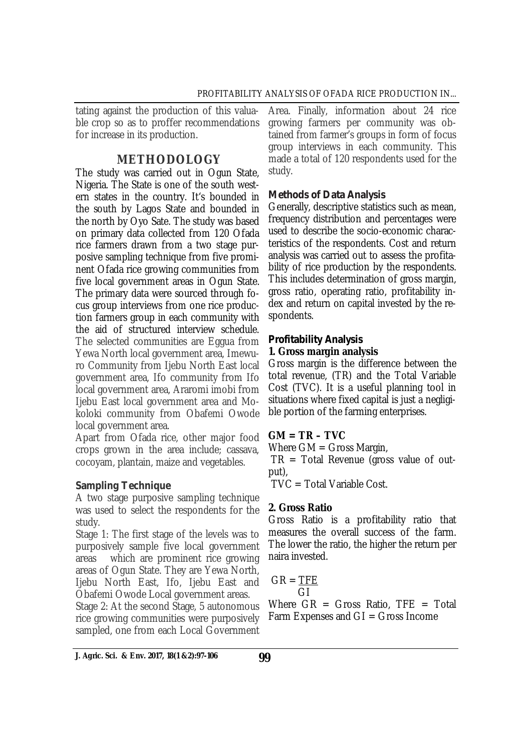tating against the production of this valuable crop so as to proffer recommendations for increase in its production.

# **METHODOLOGY**

The study was carried out in Ogun State, Nigeria. The State is one of the south western states in the country. It's bounded in the south by Lagos State and bounded in the north by Oyo Sate. The study was based on primary data collected from 120 Ofada rice farmers drawn from a two stage purposive sampling technique from five prominent Ofada rice growing communities from five local government areas in Ogun State. The primary data were sourced through focus group interviews from one rice production farmers group in each community with the aid of structured interview schedule. The selected communities are Eggua from Yewa North local government area, Imewuro Community from Ijebu North East local government area, Ifo community from Ifo local government area, Araromi imobi from Ijebu East local government area and Mokoloki community from Obafemi Owode local government area.

Apart from Ofada rice, other major food crops grown in the area include; cassava, cocoyam, plantain, maize and vegetables.

# *Sampling Technique*

A two stage purposive sampling technique was used to select the respondents for the study.

Stage 1: The first stage of the levels was to purposively sample five local government areas which are prominent rice growing areas of Ogun State. They are Yewa North, Ijebu North East, Ifo, Ijebu East and Obafemi Owode Local government areas.

Stage 2: At the second Stage, 5 autonomous rice growing communities were purposively sampled, one from each Local Government

Area. Finally, information about 24 rice growing farmers per community was obtained from farmer's groups in form of focus group interviews in each community. This made a total of 120 respondents used for the study.

# *Methods of Data Analysis*

Generally, descriptive statistics such as mean, frequency distribution and percentages were used to describe the socio-economic characteristics of the respondents. Cost and return analysis was carried out to assess the profitability of rice production by the respondents. This includes determination of gross margin, gross ratio, operating ratio, profitability index and return on capital invested by the respondents.

# *Profitability Analysis*

# **1. Gross margin analysis**

Gross margin is the difference between the total revenue, (TR) and the Total Variable Cost (TVC). It is a useful planning tool in situations where fixed capital is just a negligible portion of the farming enterprises.

# **GM = TR – TVC**

Where GM = Gross Margin,

 $TR = Total$  Revenue (gross value of output),

TVC = Total Variable Cost.

## **2. Gross Ratio**

Gross Ratio is a profitability ratio that measures the overall success of the farm. The lower the ratio, the higher the return per naira invested.

 $GR = TFE$ GI

Where  $GR = Gross$  Ratio,  $TFE = Total$ Farm Expenses and  $GI = Gross$  Income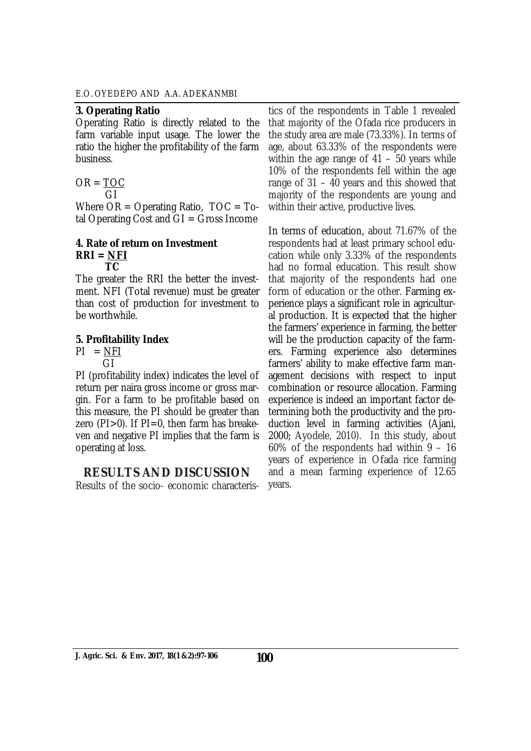#### **3. Operating Ratio**

Operating Ratio is directly related to the farm variable input usage. The lower the ratio the higher the profitability of the farm business.

$$
OR = \frac{TOC}{CI}
$$

 GI Where  $OR = Operating Ratio$ ,  $TOC = To-$ 

tal Operating Cost and  $GI = Gross$  Income

#### **4. Rate of return on Investment RRI = NFI TC**

The greater the RRI the better the investment. NFI (Total revenue) must be greater than cost of production for investment to be worthwhile.

## **5. Profitability Index**

 $PI = NFI$ GI

PI (profitability index) indicates the level of return per naira gross income or gross margin. For a farm to be profitable based on this measure, the PI should be greater than zero ( $Pl > 0$ ). If  $Pl = 0$ , then farm has breakeven and negative PI implies that the farm is operating at loss.

## **RESULTS AND DISCUSSION**

Results of the socio- economic characteris-

tics of the respondents in Table 1 revealed that majority of the Ofada rice producers in the study area are male (73.33%). In terms of age, about 63.33% of the respondents were within the age range of  $41 - 50$  years while 10% of the respondents fell within the age range of 31 – 40 years and this showed that majority of the respondents are young and within their active, productive lives.

In terms of education, about 71.67% of the respondents had at least primary school education while only 3.33% of the respondents had no formal education. This result show that majority of the respondents had one form of education or the other. Farming experience plays a significant role in agricultural production. It is expected that the higher the farmers' experience in farming, the better will be the production capacity of the farmers. Farming experience also determines farmers' ability to make effective farm management decisions with respect to input combination or resource allocation. Farming experience is indeed an important factor determining both the productivity and the production level in farming activities (Ajani, 2000; Ayodele, 2010). In this study, about 60% of the respondents had within 9 – 16 years of experience in Ofada rice farming and a mean farming experience of 12.65 years.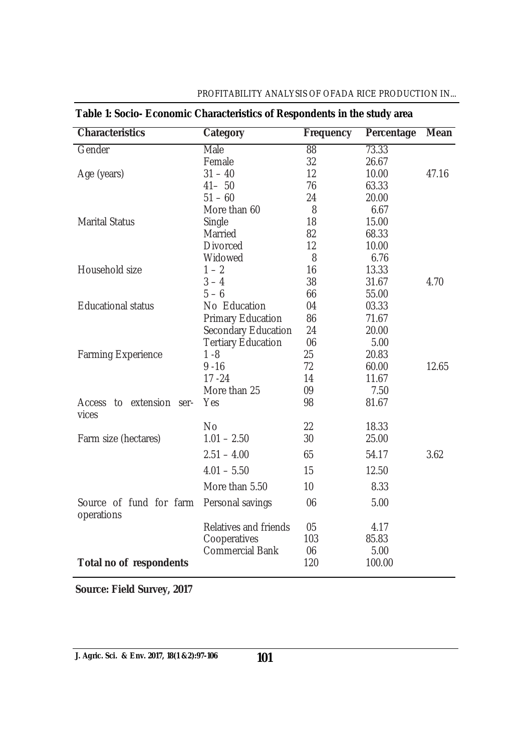| Table 1: Socio- Economic Characteristics of Respondents in the study area |                           |                  |            |             |  |
|---------------------------------------------------------------------------|---------------------------|------------------|------------|-------------|--|
| <b>Characteristics</b>                                                    | <b>Category</b>           | <b>Frequency</b> | Percentage | <b>Mean</b> |  |
| Gender                                                                    | Male                      | 88               | 73.33      |             |  |
|                                                                           | Female                    | 32               | 26.67      |             |  |
| Age (years)                                                               | $31 - 40$                 | 12               | 10.00      | 47.16       |  |
|                                                                           | $41 - 50$                 | 76               | 63.33      |             |  |
|                                                                           | $51 - 60$                 | 24               | 20.00      |             |  |
|                                                                           | More than 60              | 8                | 6.67       |             |  |
| <b>Marital Status</b>                                                     | Single                    | 18               | 15.00      |             |  |
|                                                                           | Married                   | 82               | 68.33      |             |  |
|                                                                           | <b>Divorced</b>           | 12               | 10.00      |             |  |
|                                                                           | Widowed                   | 8                | 6.76       |             |  |
| Household size                                                            | $1 - 2$                   | 16               | 13.33      |             |  |
|                                                                           | $3 - 4$                   | 38               | 31.67      | 4.70        |  |
|                                                                           | $5 - 6$                   | 66               | 55.00      |             |  |
| <b>Educational status</b>                                                 | No Education              | 04               | 03.33      |             |  |
|                                                                           | <b>Primary Education</b>  | 86               | 71.67      |             |  |
|                                                                           | Secondary Education       | 24               | 20.00      |             |  |
|                                                                           | <b>Tertiary Education</b> | 06               | 5.00       |             |  |
| <b>Farming Experience</b>                                                 | $1 - 8$                   | 25               | 20.83      |             |  |
|                                                                           | $9 - 16$                  | 72               | 60.00      | 12.65       |  |
|                                                                           | $17 - 24$                 | 14               | 11.67      |             |  |
|                                                                           | More than 25              | 09               | 7.50       |             |  |
| Access to extension ser-<br>vices                                         | Yes                       | 98               | 81.67      |             |  |
|                                                                           | <b>No</b>                 | 22               | 18.33      |             |  |
| Farm size (hectares)                                                      | $1.01 - 2.50$             | 30               | 25.00      |             |  |
|                                                                           | $2.51 - 4.00$             | 65               | 54.17      | 3.62        |  |
|                                                                           | $4.01 - 5.50$             | 15               | 12.50      |             |  |
|                                                                           | More than 5.50            | 10               | 8.33       |             |  |
| Source of fund for farm<br>operations                                     | Personal savings          | 06               | 5.00       |             |  |
|                                                                           | Relatives and friends     | 05               | 4.17       |             |  |
|                                                                           | Cooperatives              | 103              | 85.83      |             |  |
|                                                                           | <b>Commercial Bank</b>    | 06               | 5.00       |             |  |
| Total no of respondents                                                   |                           | 120              | 100.00     |             |  |

## PROFITABILITY ANALYSIS OF OFADA RICE PRODUCTION IN...

**Source: Field Survey, 2017**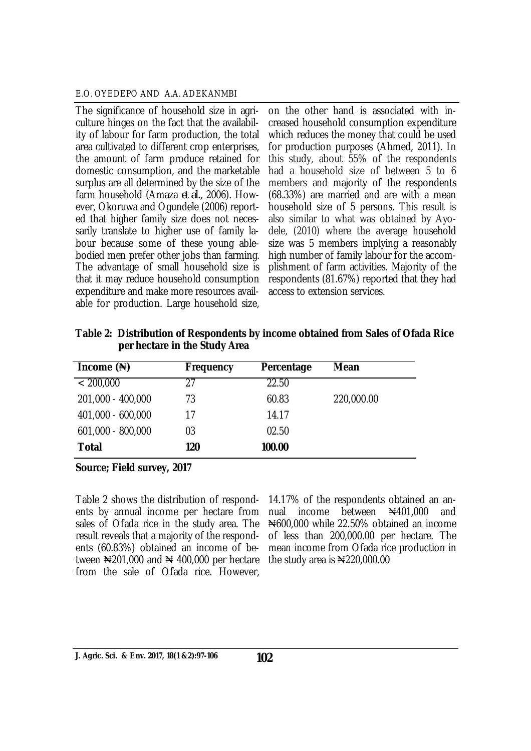The significance of household size in agriculture hinges on the fact that the availability of labour for farm production, the total area cultivated to different crop enterprises, the amount of farm produce retained for domestic consumption, and the marketable surplus are all determined by the size of the farm household (Amaza *et al.,* 2006). However, Okoruwa and Ogundele (2006) reported that higher family size does not necessarily translate to higher use of family labour because some of these young ablebodied men prefer other jobs than farming. The advantage of small household size is that it may reduce household consumption expenditure and make more resources available for production. Large household size,

on the other hand is associated with increased household consumption expenditure which reduces the money that could be used for production purposes (Ahmed, 2011). In this study, about 55% of the respondents had a household size of between 5 to 6 members and majority of the respondents (68.33%) are married and are with a mean household size of 5 persons. This result is also similar to what was obtained by Ayodele, (2010) where the average household size was 5 members implying a reasonably high number of family labour for the accomplishment of farm activities. Majority of the respondents (81.67%) reported that they had access to extension services.

| Table 2: Distribution of Respondents by income obtained from Sales of Ofada Rice |
|----------------------------------------------------------------------------------|
| per hectare in the Study Area                                                    |

| Income $(*)$      | <b>Frequency</b> | Percentage | <b>Mean</b> |
|-------------------|------------------|------------|-------------|
| < 200,000         | 27               | 22.50      |             |
| 201,000 - 400,000 | 73               | 60.83      | 220,000.00  |
| 401,000 - 600,000 | 17               | 14.17      |             |
| 601,000 - 800,000 | 03               | 02.50      |             |
| <b>Total</b>      | 120              | 100.00     |             |

**Source; Field survey, 2017**

Table 2 shows the distribution of respondents by annual income per hectare from sales of Ofada rice in the study area. The result reveals that a majority of the respondents (60.83%) obtained an income of between  $\yen$ 201,000 and  $\yen$  400,000 per hectare from the sale of Ofada rice. However,

14.17% of the respondents obtained an annual income between N401,000 and ₦600,000 while 22.50% obtained an income of less than 200,000.00 per hectare. The mean income from Ofada rice production in the study area is  $\mathbb{N}220,000.00$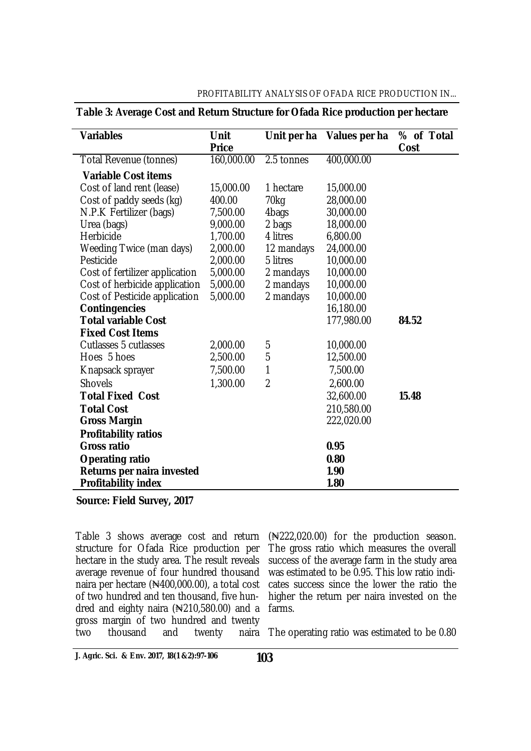#### PROFITABILITY ANALYSIS OF OFADA RICE PRODUCTION IN...

| <b>Variables</b>               | <b>Unit</b><br><b>Price</b> | Unit per ha    | Values per ha | % of Total<br>Cost |
|--------------------------------|-----------------------------|----------------|---------------|--------------------|
| Total Revenue (tonnes)         | 160,000.00                  | 2.5 tonnes     | 400,000.00    |                    |
| <b>Variable Cost items</b>     |                             |                |               |                    |
| Cost of land rent (lease)      | 15,000.00                   | 1 hectare      | 15,000.00     |                    |
| Cost of paddy seeds (kg)       | 400.00                      | 70kg           | 28,000.00     |                    |
| N.P.K Fertilizer (bags)        | 7,500.00                    | 4bags          | 30,000.00     |                    |
| Urea (bags)                    | 9,000.00                    | 2 bags         | 18,000.00     |                    |
| Herbicide                      | 1,700.00                    | 4 litres       | 6,800.00      |                    |
| Weeding Twice (man days)       | 2,000.00                    | 12 mandays     | 24,000.00     |                    |
| Pesticide                      | 2,000.00                    | 5 litres       | 10,000.00     |                    |
| Cost of fertilizer application | 5,000.00                    | 2 mandays      | 10,000.00     |                    |
| Cost of herbicide application  | 5,000.00                    | 2 mandays      | 10,000.00     |                    |
| Cost of Pesticide application  | 5,000.00                    | 2 mandays      | 10,000.00     |                    |
| <b>Contingencies</b>           |                             |                | 16,180.00     |                    |
| <b>Total variable Cost</b>     |                             |                | 177,980.00    | 84.52              |
| <b>Fixed Cost Items</b>        |                             |                |               |                    |
| <b>Cutlasses 5 cutlasses</b>   | 2,000.00                    | 5              | 10,000.00     |                    |
| Hoes 5 hoes                    | 2,500.00                    | 5              | 12,500.00     |                    |
| Knapsack sprayer               | 7,500.00                    | 1              | 7,500.00      |                    |
| <b>Shovels</b>                 | 1,300.00                    | $\overline{2}$ | 2,600.00      |                    |
| <b>Total Fixed Cost</b>        |                             |                | 32,600.00     | 15.48              |
| <b>Total Cost</b>              |                             |                | 210,580.00    |                    |
| <b>Gross Margin</b>            |                             |                | 222,020.00    |                    |
| <b>Profitability ratios</b>    |                             |                |               |                    |
| <b>Gross ratio</b>             |                             |                | 0.95          |                    |
| <b>Operating ratio</b>         |                             |                | 0.80          |                    |
| Returns per naira invested     |                             |                | 1.90          |                    |
| <b>Profitability index</b>     |                             |                | 1.80          |                    |

#### **Table 3: Average Cost and Return Structure for Ofada Rice production per hectare**

**Source: Field Survey, 2017**

Table 3 shows average cost and return structure for Ofada Rice production per hectare in the study area. The result reveals average revenue of four hundred thousand naira per hectare (₦400,000.00), a total cost of two hundred and ten thousand, five hundred and eighty naira  $(*210,580.00)$  and a gross margin of two hundred and twenty<br>two thousand and twenty naira thousand

(₦222,020.00) for the production season. The gross ratio which measures the overall success of the average farm in the study area was estimated to be 0.95. This low ratio indicates success since the lower the ratio the higher the return per naira invested on the farms.

naira The operating ratio was estimated to be 0.80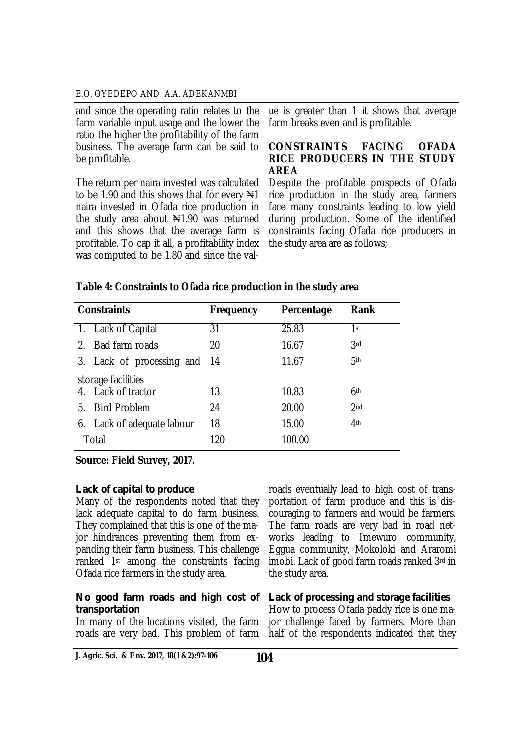and since the operating ratio relates to the farm variable input usage and the lower the ratio the higher the profitability of the farm business. The average farm can be said to be profitable.

The return per naira invested was calculated to be 1.90 and this shows that for every  $\mathbb{H}^1$ naira invested in Ofada rice production in the study area about  $\mathbb{N}1.90$  was returned and this shows that the average farm is profitable. To cap it all, a profitability index was computed to be 1.80 and since the val-

ue is greater than 1 it shows that average farm breaks even and is profitable.

#### **CONSTRAINTS FACING OFADA RICE PRODUCERS IN THE STUDY AREA**

Despite the profitable prospects of Ofada rice production in the study area, farmers face many constraints leading to low yield during production. Some of the identified constraints facing Ofada rice producers in the study area are as follows;

|         | <b>Constraints</b>         | <b>Frequency</b> | Percentage | <b>Rank</b>     |
|---------|----------------------------|------------------|------------|-----------------|
|         | 1. Lack of Capital         | 31               | 25.83      | 1st             |
| $2_{-}$ | Bad farm roads             | 20               | 16.67      | 3rd             |
|         | 3. Lack of processing and  | -14              | 11.67      | 5th             |
|         | storage facilities         |                  |            |                 |
|         | 4. Lack of tractor         | 13               | 10.83      | 6th             |
| 5.      | <b>Bird Problem</b>        | 24               | 20.00      | 2 <sub>nd</sub> |
|         | 6. Lack of adequate labour | 18               | 15.00      | 4 <sup>th</sup> |
|         | Total                      | 120              | 100.00     |                 |

## **Table 4: Constraints to Ofada rice production in the study area**

**Source: Field Survey, 2017.**

#### *Lack of capital to produce*

Many of the respondents noted that they lack adequate capital to do farm business. They complained that this is one of the major hindrances preventing them from expanding their farm business. This challenge ranked 1st among the constraints facing Ofada rice farmers in the study area.

#### *No good farm roads and high cost of Lack of processing and storage facilities transportation*

roads eventually lead to high cost of transportation of farm produce and this is discouraging to farmers and would be farmers. The farm roads are very bad in road networks leading to Imewuro community, Eggua community, Mokoloki and Araromi imobi. Lack of good farm roads ranked 3rd in the study area.

In many of the locations visited, the farm jor challenge faced by farmers. More than roads are very bad. This problem of farm half of the respondents indicated that they How to process Ofada paddy rice is one ma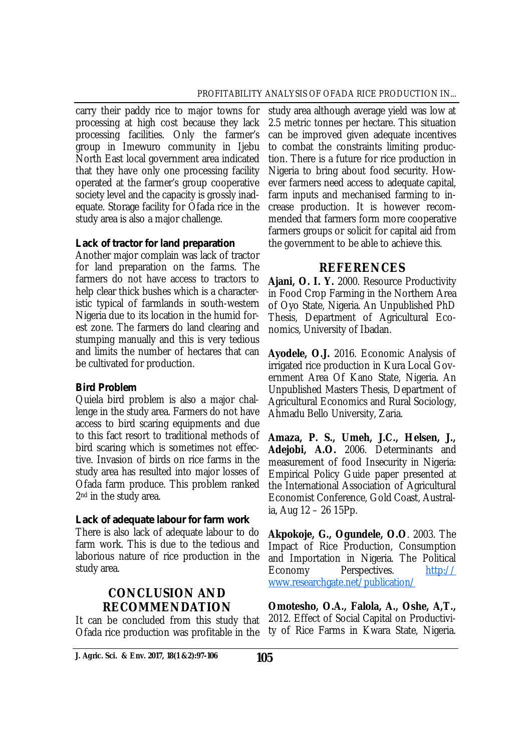carry their paddy rice to major towns for processing at high cost because they lack processing facilities. Only the farmer's group in Imewuro community in Ijebu North East local government area indicated that they have only one processing facility operated at the farmer's group cooperative society level and the capacity is grossly inadequate. Storage facility for Ofada rice in the study area is also a major challenge.

## *Lack of tractor for land preparation*

Another major complain was lack of tractor for land preparation on the farms. The farmers do not have access to tractors to help clear thick bushes which is a characteristic typical of farmlands in south-western Nigeria due to its location in the humid forest zone. The farmers do land clearing and stumping manually and this is very tedious and limits the number of hectares that can be cultivated for production.

## *Bird Problem*

Quiela bird problem is also a major challenge in the study area. Farmers do not have access to bird scaring equipments and due to this fact resort to traditional methods of bird scaring which is sometimes not effective. Invasion of birds on rice farms in the study area has resulted into major losses of Ofada farm produce. This problem ranked 2<sup>nd</sup> in the study area.

## *Lack of adequate labour for farm work*

There is also lack of adequate labour to do farm work. This is due to the tedious and laborious nature of rice production in the study area.

# **CONCLUSION AND RECOMMENDATION**

It can be concluded from this study that Ofada rice production was profitable in the study area although average yield was low at 2.5 metric tonnes per hectare. This situation can be improved given adequate incentives to combat the constraints limiting production. There is a future for rice production in Nigeria to bring about food security. However farmers need access to adequate capital, farm inputs and mechanised farming to increase production. It is however recommended that farmers form more cooperative farmers groups or solicit for capital aid from the government to be able to achieve this.

# **REFERENCES**

**Ajani, O. I. Y.** 2000. Resource Productivity in Food Crop Farming in the Northern Area of Oyo State, Nigeria. An Unpublished PhD Thesis, Department of Agricultural Economics, University of Ibadan.

**Ayodele, O.J.** 2016. Economic Analysis of irrigated rice production in Kura Local Government Area Of Kano State, Nigeria. An Unpublished Masters Thesis, Department of Agricultural Economics and Rural Sociology, Ahmadu Bello University, Zaria.

**Amaza, P. S., Umeh, J.C., Helsen, J., Adejobi, A.O.** 2006. Determinants and measurement of food Insecurity in Nigeria: Empirical Policy Guide paper presented at the International Association of Agricultural Economist Conference, Gold Coast, Australia, Aug 12 – 26 15Pp.

**Akpokoje, G., Ogundele, O.O**. 2003. The Impact of Rice Production, Consumption and Importation in Nigeria. The Political Economy Perspectives. <http://> [www.researchgate.net/publication/](http://www.researchgate.net/publication/)

**Omotesho, O.A., Falola, A., Oshe, A,T.,**  2012. Effect of Social Capital on Productivity of Rice Farms in Kwara State, Nigeria.